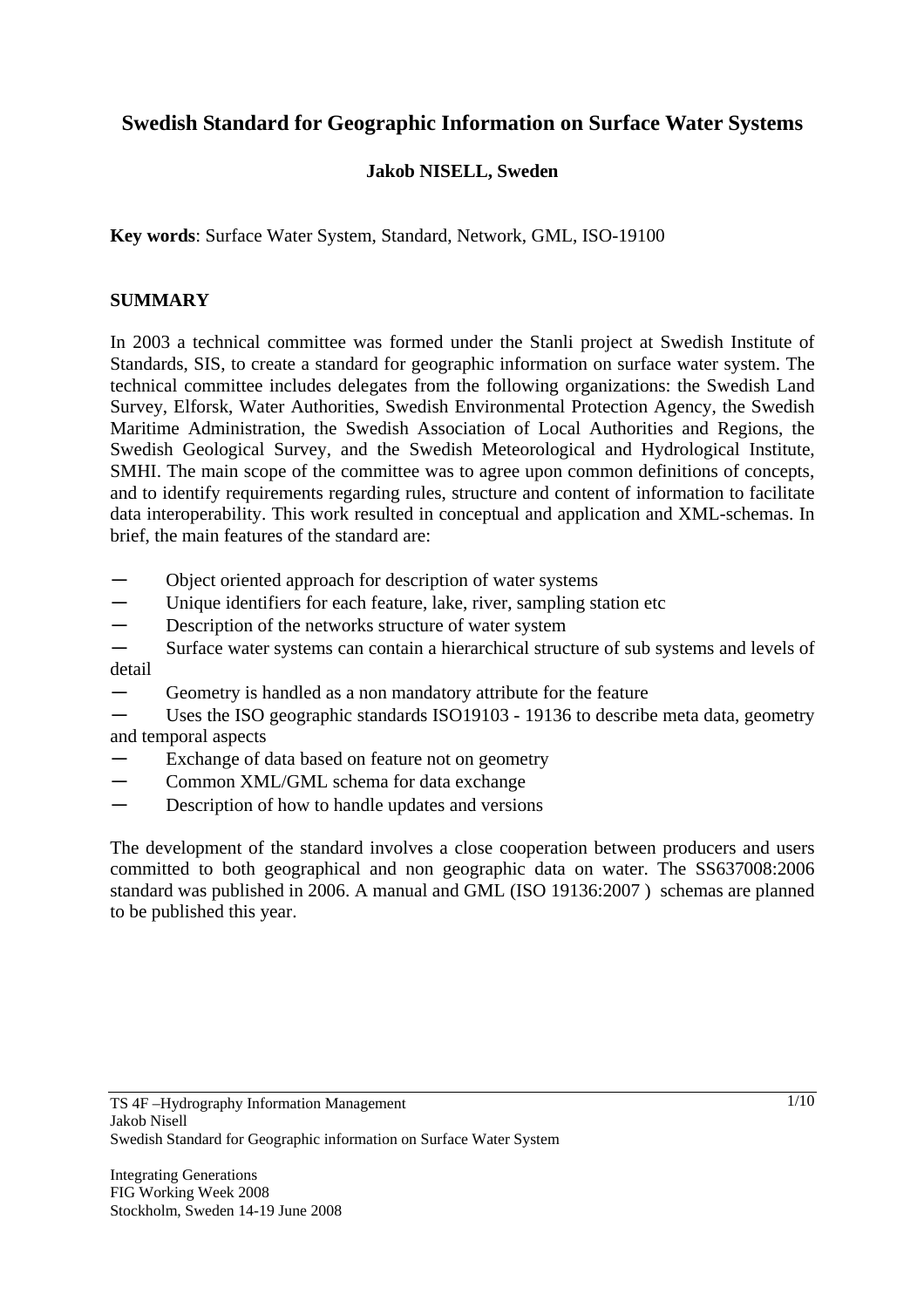# **Swedish Standard for Geographic Information on Surface Water Systems**

## **Jakob NISELL, Sweden**

**Key words**: Surface Water System, Standard, Network, GML, ISO-19100

### **SUMMARY**

In 2003 a technical committee was formed under the Stanli project at Swedish Institute of Standards, SIS, to create a standard for geographic information on surface water system. The technical committee includes delegates from the following organizations: the Swedish Land Survey, Elforsk, Water Authorities, Swedish Environmental Protection Agency, the Swedish Maritime Administration, the Swedish Association of Local Authorities and Regions, the Swedish Geological Survey, and the Swedish Meteorological and Hydrological Institute, SMHI. The main scope of the committee was to agree upon common definitions of concepts, and to identify requirements regarding rules, structure and content of information to facilitate data interoperability. This work resulted in conceptual and application and XML-schemas. In brief, the main features of the standard are:

- ― Object oriented approach for description of water systems
- Unique identifiers for each feature, lake, river, sampling station etc
- Description of the networks structure of water system
- Surface water systems can contain a hierarchical structure of sub systems and levels of detail
- Geometry is handled as a non mandatory attribute for the feature
- Uses the ISO geographic standards ISO19103 19136 to describe meta data, geometry and temporal aspects
- Exchange of data based on feature not on geometry
- Common XML/GML schema for data exchange
- Description of how to handle updates and versions

The development of the standard involves a close cooperation between producers and users committed to both geographical and non geographic data on water. The SS637008:2006 standard was published in 2006. A manual and GML (ISO 19136:2007 ) schemas are planned to be published this year.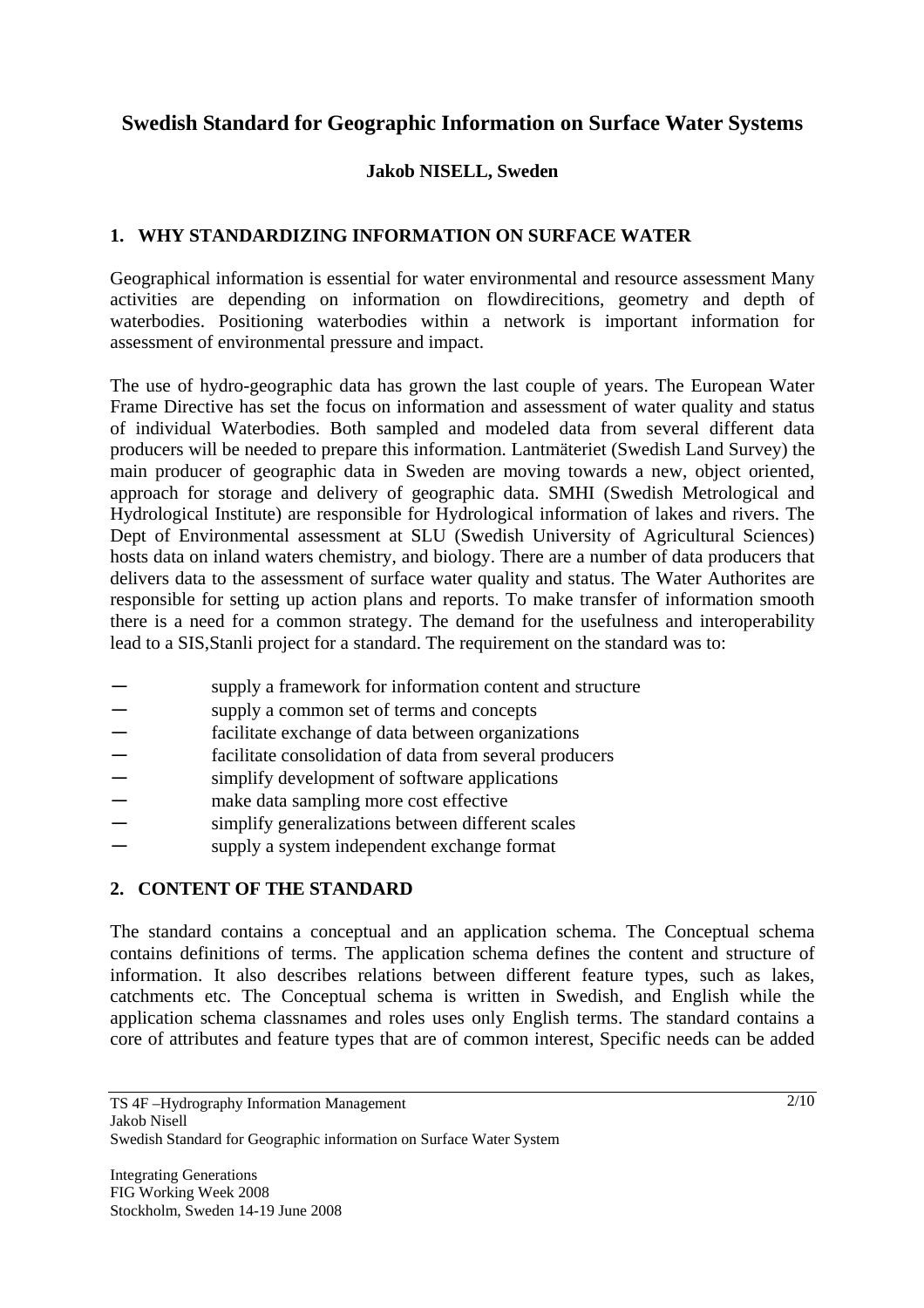# **Swedish Standard for Geographic Information on Surface Water Systems**

## **Jakob NISELL, Sweden**

## **1. WHY STANDARDIZING INFORMATION ON SURFACE WATER**

Geographical information is essential for water environmental and resource assessment Many activities are depending on information on flowdirecitions, geometry and depth of waterbodies. Positioning waterbodies within a network is important information for assessment of environmental pressure and impact.

The use of hydro-geographic data has grown the last couple of years. The European Water Frame Directive has set the focus on information and assessment of water quality and status of individual Waterbodies. Both sampled and modeled data from several different data producers will be needed to prepare this information. Lantmäteriet (Swedish Land Survey) the main producer of geographic data in Sweden are moving towards a new, object oriented, approach for storage and delivery of geographic data. SMHI (Swedish Metrological and Hydrological Institute) are responsible for Hydrological information of lakes and rivers. The Dept of Environmental assessment at SLU (Swedish University of Agricultural Sciences) hosts data on inland waters chemistry, and biology. There are a number of data producers that delivers data to the assessment of surface water quality and status. The Water Authorites are responsible for setting up action plans and reports. To make transfer of information smooth there is a need for a common strategy. The demand for the usefulness and interoperability lead to a SIS,Stanli project for a standard. The requirement on the standard was to:

- supply a framework for information content and structure
- supply a common set of terms and concepts
- facilitate exchange of data between organizations
- facilitate consolidation of data from several producers<br>— simplify development of software applications
- simplify development of software applications
- make data sampling more cost effective
- simplify generalizations between different scales
- ― supply a system independent exchange format

# **2. CONTENT OF THE STANDARD**

The standard contains a conceptual and an application schema. The Conceptual schema contains definitions of terms. The application schema defines the content and structure of information. It also describes relations between different feature types, such as lakes, catchments etc. The Conceptual schema is written in Swedish, and English while the application schema classnames and roles uses only English terms. The standard contains a core of attributes and feature types that are of common interest, Specific needs can be added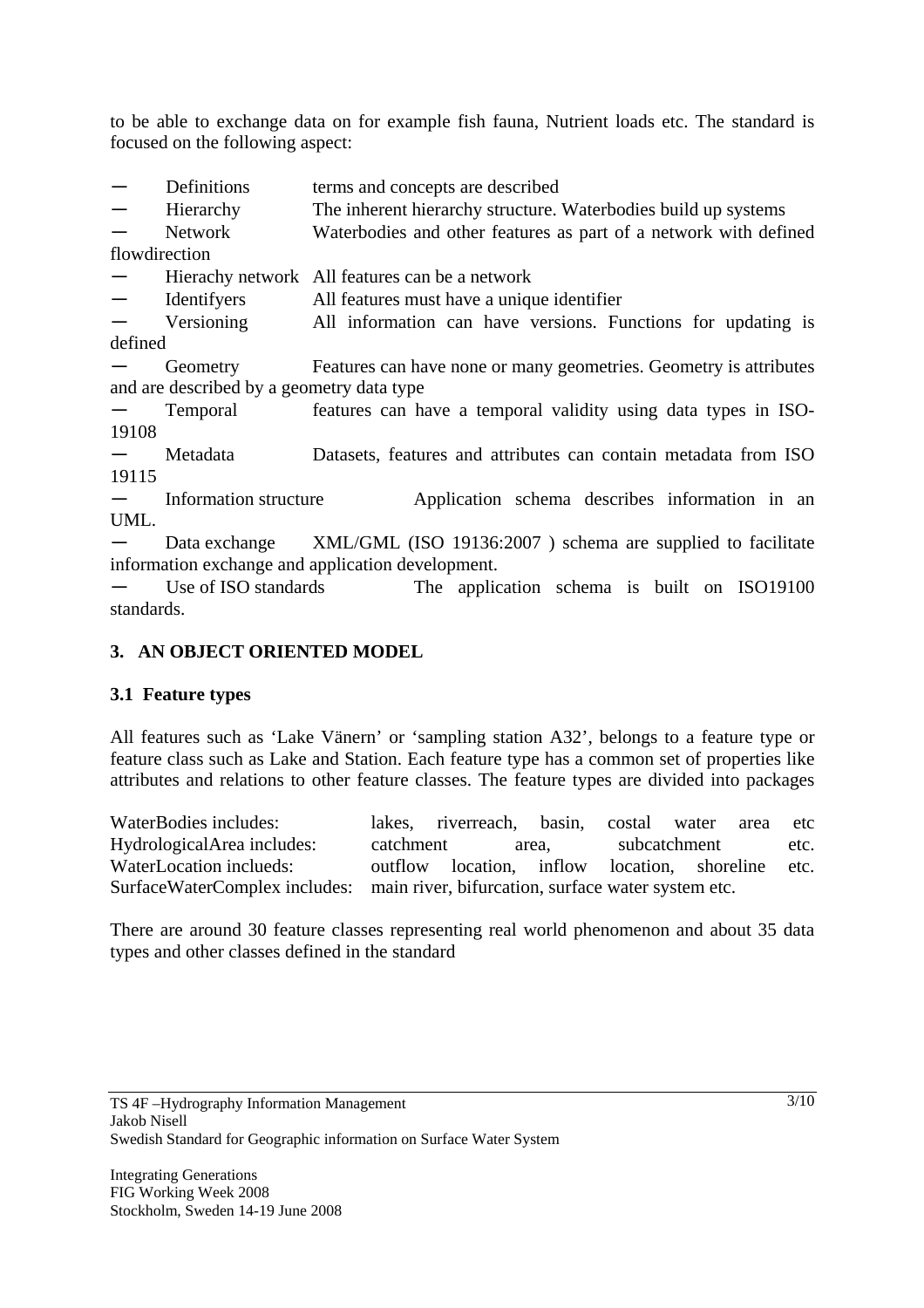to be able to exchange data on for example fish fauna, Nutrient loads etc. The standard is focused on the following aspect:

- Definitions terms and concepts are described
- Hierarchy The inherent hierarchy structure. Waterbodies build up systems

Network Waterbodies and other features as part of a network with defined

flowdirection

Hierachy network All features can be a network

― Identifyers All features must have a unique identifier

― Versioning All information can have versions. Functions for updating is defined

Geometry Features can have none or many geometries. Geometry is attributes and are described by a geometry data type

Temporal features can have a temporal validity using data types in ISO-19108

― Metadata Datasets, features and attributes can contain metadata from ISO 19115

― Information structure Application schema describes information in an UML.

Data exchange XML/GML (ISO 19136:2007) schema are supplied to facilitate information exchange and application development.

― Use of ISO standards The application schema is built on ISO19100 standards.

#### **3. AN OBJECT ORIENTED MODEL**

#### **3.1 Feature types**

All features such as 'Lake Vänern' or 'sampling station A32', belongs to a feature type or feature class such as Lake and Station. Each feature type has a common set of properties like attributes and relations to other feature classes. The feature types are divided into packages

WaterBodies includes: lakes, riverreach, basin, costal water area etc HydrologicalArea includes: catchment area, subcatchment etc. WaterLocation inclueds: outflow location, inflow location, shoreline etc. SurfaceWaterComplex includes: main river, bifurcation, surface water system etc.

There are around 30 feature classes representing real world phenomenon and about 35 data types and other classes defined in the standard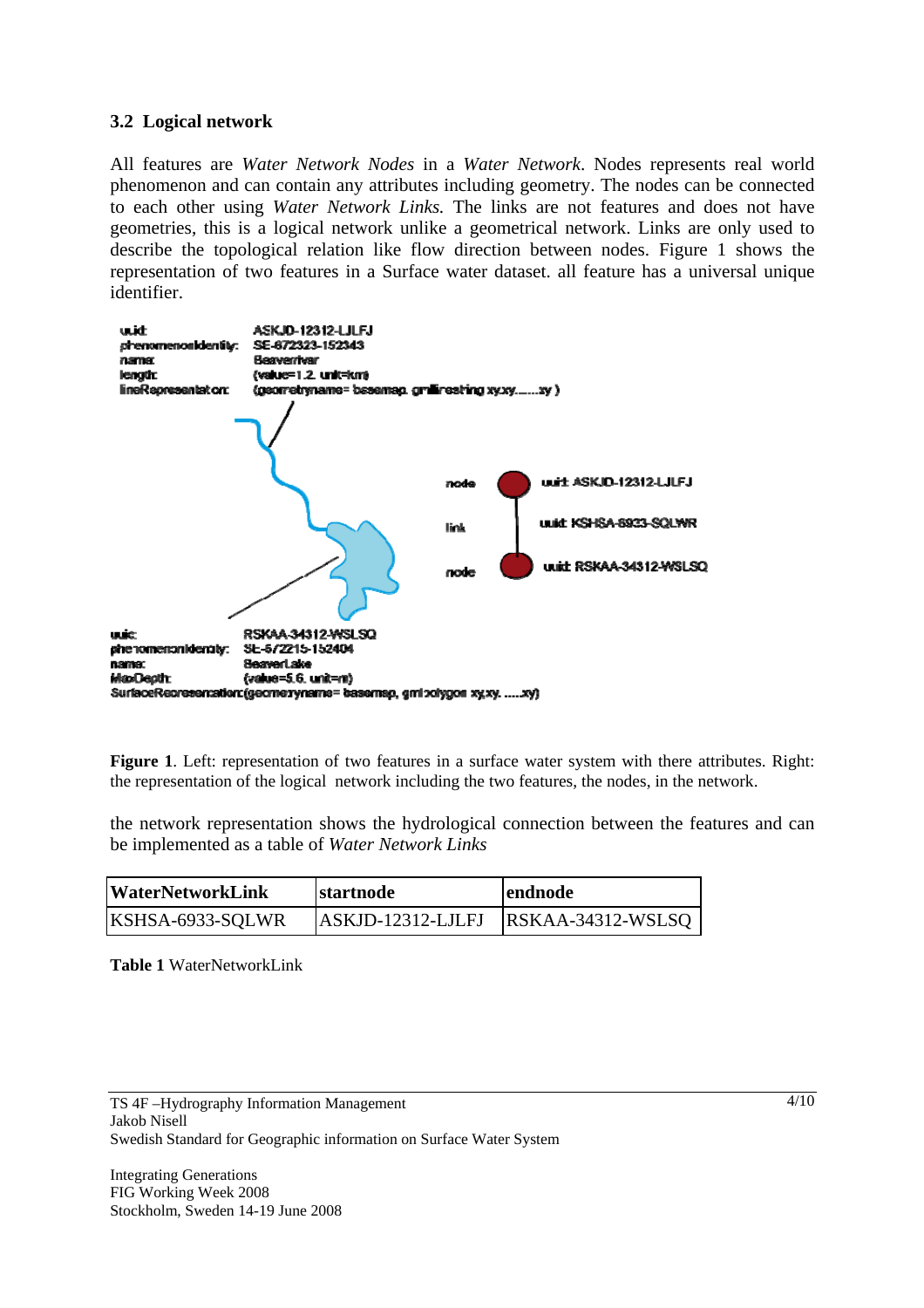#### **3.2 Logical network**

All features are *Water Network Nodes* in a *Water Network*. Nodes represents real world phenomenon and can contain any attributes including geometry. The nodes can be connected to each other using *Water Network Links.* The links are not features and does not have geometries, this is a logical network unlike a geometrical network. Links are only used to describe the topological relation like flow direction between nodes. Figure 1 shows the representation of two features in a Surface water dataset. all feature has a universal unique identifier.



**Figure 1**. Left: representation of two features in a surface water system with there attributes. Right: the representation of the logical network including the two features, the nodes, in the network.

the network representation shows the hydrological connection between the features and can be implemented as a table of *Water Network Links*

| <b>WaterNetworkLink</b> | startnode            | lendnode            |
|-------------------------|----------------------|---------------------|
| KSHSA-6933-SQLWR        | $ ASKJD-12312-LJLFJ$ | $RSKAA-34312-WSLSQ$ |

**Table 1** WaterNetworkLink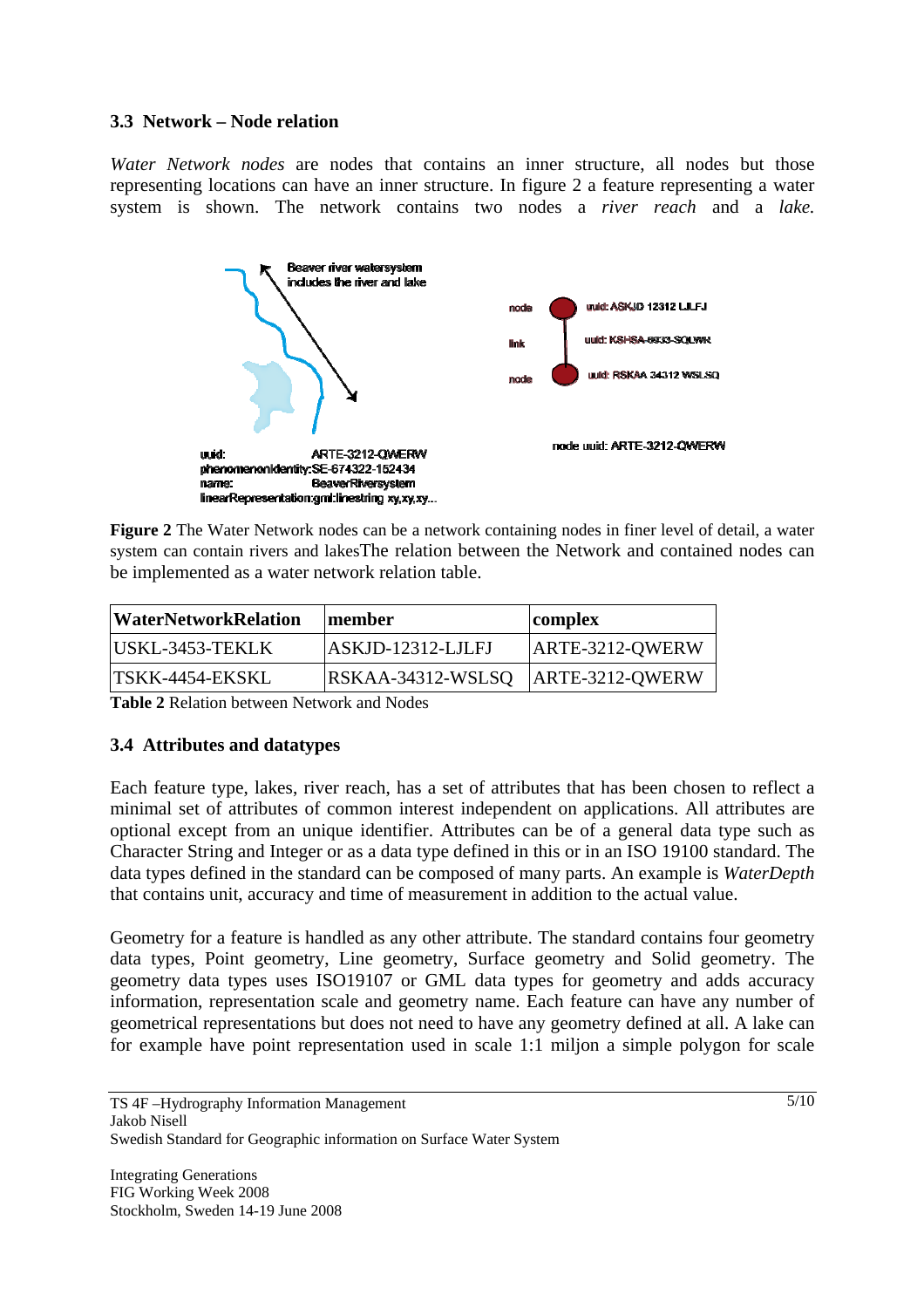### **3.3 Network – Node relation**

*Water Network nodes* are nodes that contains an inner structure, all nodes but those representing locations can have an inner structure. In figure 2 a feature representing a water system is shown. The network contains two nodes a *river reach* and a *lake.*



**Figure 2** The Water Network nodes can be a network containing nodes in finer level of detail, a water system can contain rivers and lakesThe relation between the Network and contained nodes can be implemented as a water network relation table.

| <b>WaterNetworkRelation</b> | member              | complex           |
|-----------------------------|---------------------|-------------------|
| USKL-3453-TEKLK             | ASKJD-12312-LJLFJ   | ARTE-3212-QWERW   |
| <b>TSKK-4454-EKSKL</b>      | $RSKAA-34312-WSLSQ$ | $ARTE-3212-OWERW$ |

**Table 2** Relation between Network and Nodes

# **3.4 Attributes and datatypes**

Each feature type, lakes, river reach, has a set of attributes that has been chosen to reflect a minimal set of attributes of common interest independent on applications. All attributes are optional except from an unique identifier. Attributes can be of a general data type such as Character String and Integer or as a data type defined in this or in an ISO 19100 standard. The data types defined in the standard can be composed of many parts. An example is *WaterDepth*  that contains unit, accuracy and time of measurement in addition to the actual value.

Geometry for a feature is handled as any other attribute. The standard contains four geometry data types, Point geometry, Line geometry, Surface geometry and Solid geometry. The geometry data types uses ISO19107 or GML data types for geometry and adds accuracy information, representation scale and geometry name. Each feature can have any number of geometrical representations but does not need to have any geometry defined at all. A lake can for example have point representation used in scale 1:1 miljon a simple polygon for scale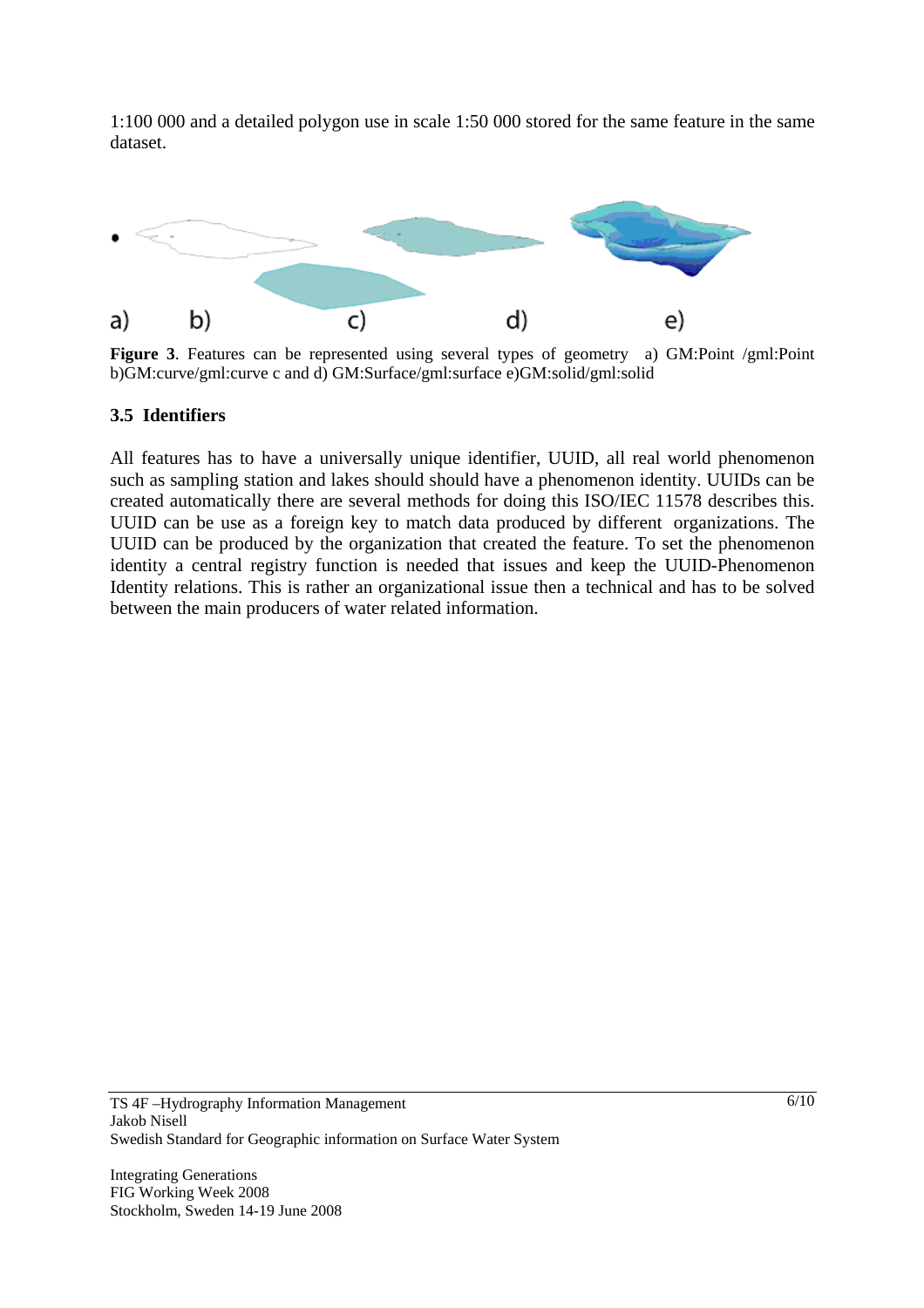1:100 000 and a detailed polygon use in scale 1:50 000 stored for the same feature in the same dataset.



b)GM:curve/gml:curve c and d) GM:Surface/gml:surface e)GM:solid/gml:solid

#### **3.5 Identifiers**

All features has to have a universally unique identifier, UUID, all real world phenomenon such as sampling station and lakes should should have a phenomenon identity. UUIDs can be created automatically there are several methods for doing this ISO/IEC 11578 describes this. UUID can be use as a foreign key to match data produced by different organizations. The UUID can be produced by the organization that created the feature. To set the phenomenon identity a central registry function is needed that issues and keep the UUID-Phenomenon Identity relations. This is rather an organizational issue then a technical and has to be solved between the main producers of water related information.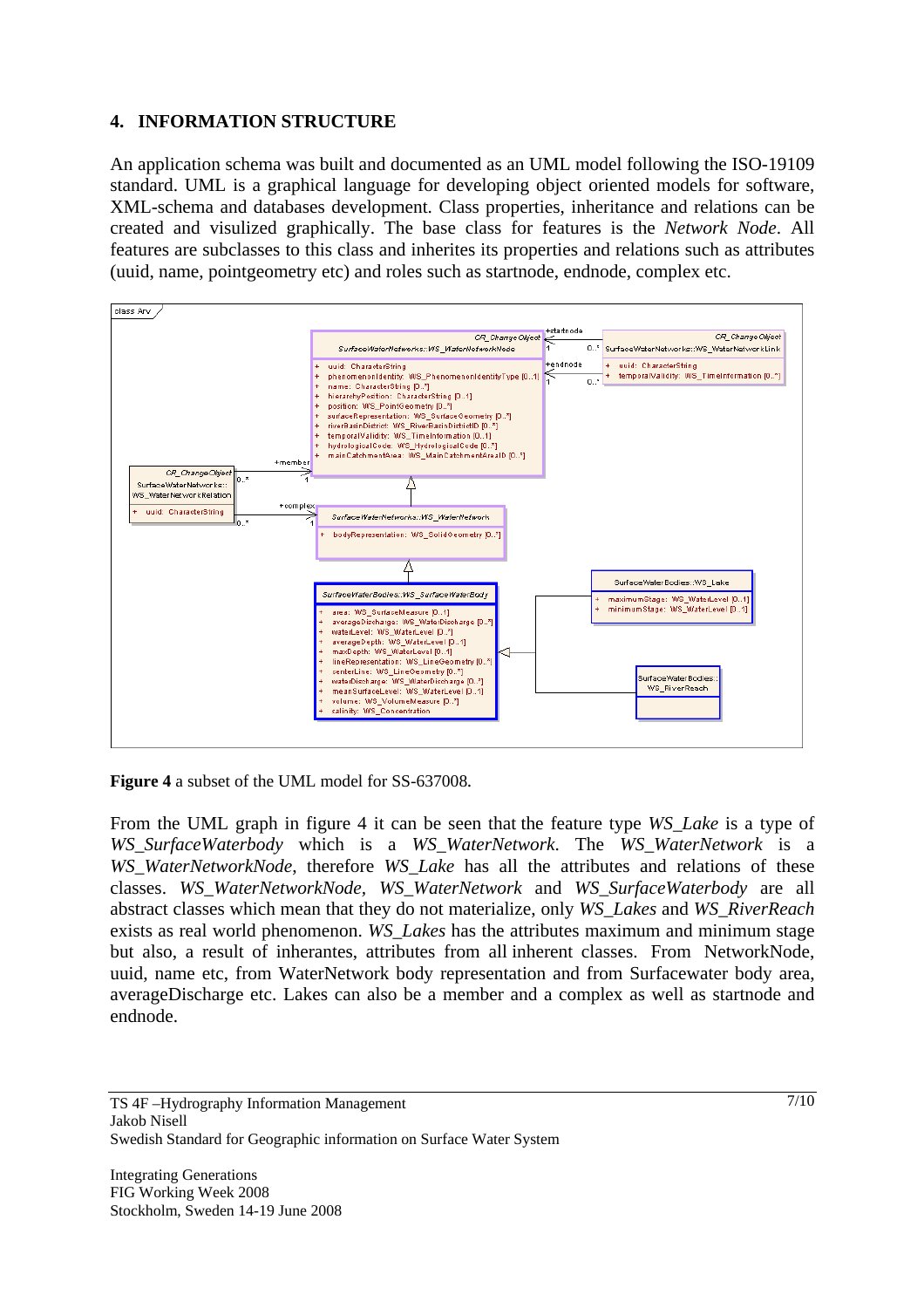## **4. INFORMATION STRUCTURE**

An application schema was built and documented as an UML model following the ISO-19109 standard. UML is a graphical language for developing object oriented models for software, XML-schema and databases development. Class properties, inheritance and relations can be created and visulized graphically. The base class for features is the *Network Node*. All features are subclasses to this class and inherites its properties and relations such as attributes (uuid, name, pointgeometry etc) and roles such as startnode, endnode, complex etc.



**Figure 4** a subset of the UML model for SS-637008*.*

From the UML graph in figure 4 it can be seen that the feature type *WS\_Lake* is a type of *WS\_SurfaceWaterbody* which is a *WS\_WaterNetwork*. The *WS\_WaterNetwork* is a *WS\_WaterNetworkNode*, therefore *WS\_Lake* has all the attributes and relations of these classes. *WS\_WaterNetworkNode, WS\_WaterNetwork* and *WS\_SurfaceWaterbody* are all abstract classes which mean that they do not materialize, only *WS\_Lakes* and *WS\_RiverReach* exists as real world phenomenon. *WS\_Lakes* has the attributes maximum and minimum stage but also, a result of inherantes, attributes from all inherent classes. From NetworkNode, uuid, name etc, from WaterNetwork body representation and from Surfacewater body area, averageDischarge etc. Lakes can also be a member and a complex as well as startnode and endnode.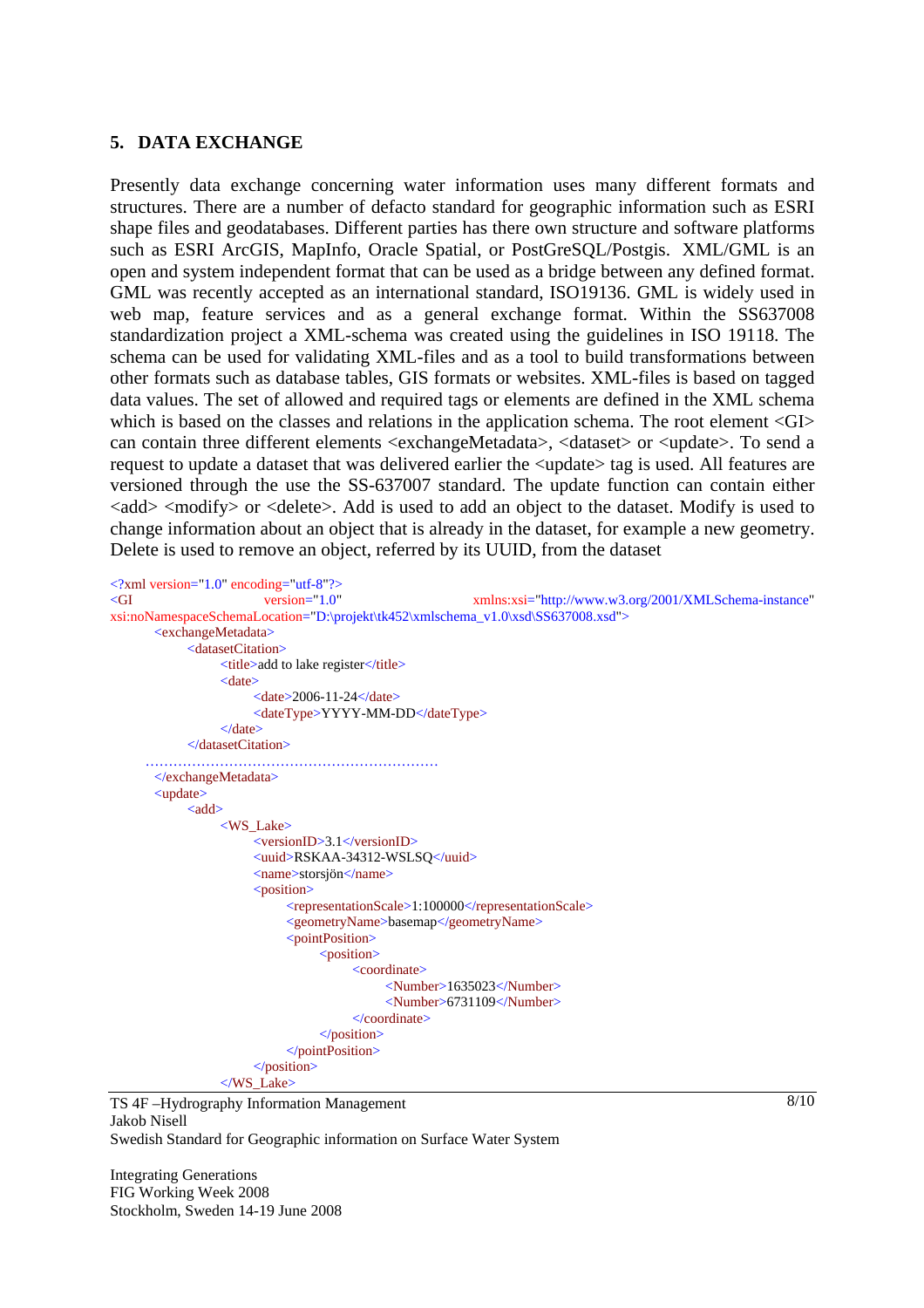#### **5. DATA EXCHANGE**

Presently data exchange concerning water information uses many different formats and structures. There are a number of defacto standard for geographic information such as ESRI shape files and geodatabases. Different parties has there own structure and software platforms such as ESRI ArcGIS, MapInfo, Oracle Spatial, or PostGreSQL/Postgis. XML/GML is an open and system independent format that can be used as a bridge between any defined format. GML was recently accepted as an international standard, ISO19136. GML is widely used in web map, feature services and as a general exchange format. Within the SS637008 standardization project a XML-schema was created using the guidelines in ISO 19118. The schema can be used for validating XML-files and as a tool to build transformations between other formats such as database tables, GIS formats or websites. XML-files is based on tagged data values. The set of allowed and required tags or elements are defined in the XML schema which is based on the classes and relations in the application schema. The root element  $\langle GI \rangle$ can contain three different elements <exchangeMetadata>, <dataset> or <update>. To send a request to update a dataset that was delivered earlier the <update> tag is used. All features are versioned through the use the SS-637007 standard. The update function can contain either <add> <modify> or <delete>. Add is used to add an object to the dataset. Modify is used to change information about an object that is already in the dataset, for example a new geometry. Delete is used to remove an object, referred by its UUID, from the dataset

```
<?xml version="1.0" encoding="utf-8"?>
<GI version="1.0" xmlns:xsi="http://www.w3.org/2001/XMLSchema-instance"
xsi:noNamespaceSchemaLocation="D:\projekt\tk452\xmlschema_v1.0\xsd\SS637008.xsd"> 
        <exchangeMetadata> 
             <datasetCitation> 
                 <title>add to lake register</title>
                  <date> 
                        <date>2006-11-24</date> 
                       <dateType>YYYY-MM-DD</dateType> 
                 \langledate\rangle </datasetCitation> 
                   ……………………………………………………… 
       </exchangeMetadata> 
        <update> 
            <add>
                  <WS_Lake> 
                       <versionID>3.1</versionID> 
                       <uuid>RSKAA-34312-WSLSQ</uuid> 
                       <name>storsjön</name> 
                        <position> 
                             <representationScale>1:100000</representationScale> 
                             <geometryName>basemap</geometryName> 
                            <pointPosition>
                                  <position> 
                                       <coordinate> 
                                             <Number>1635023</Number> 
                                             <Number>6731109</Number> 
                                       </coordinate> 
                                  </position> 
                             </pointPosition> 
                        </position> 
                 \langleWS_Lake>
```
TS 4F –Hydrography Information Management Jakob Nisell Swedish Standard for Geographic information on Surface Water System

Integrating Generations FIG Working Week 2008 Stockholm, Sweden 14-19 June 2008  $8/10$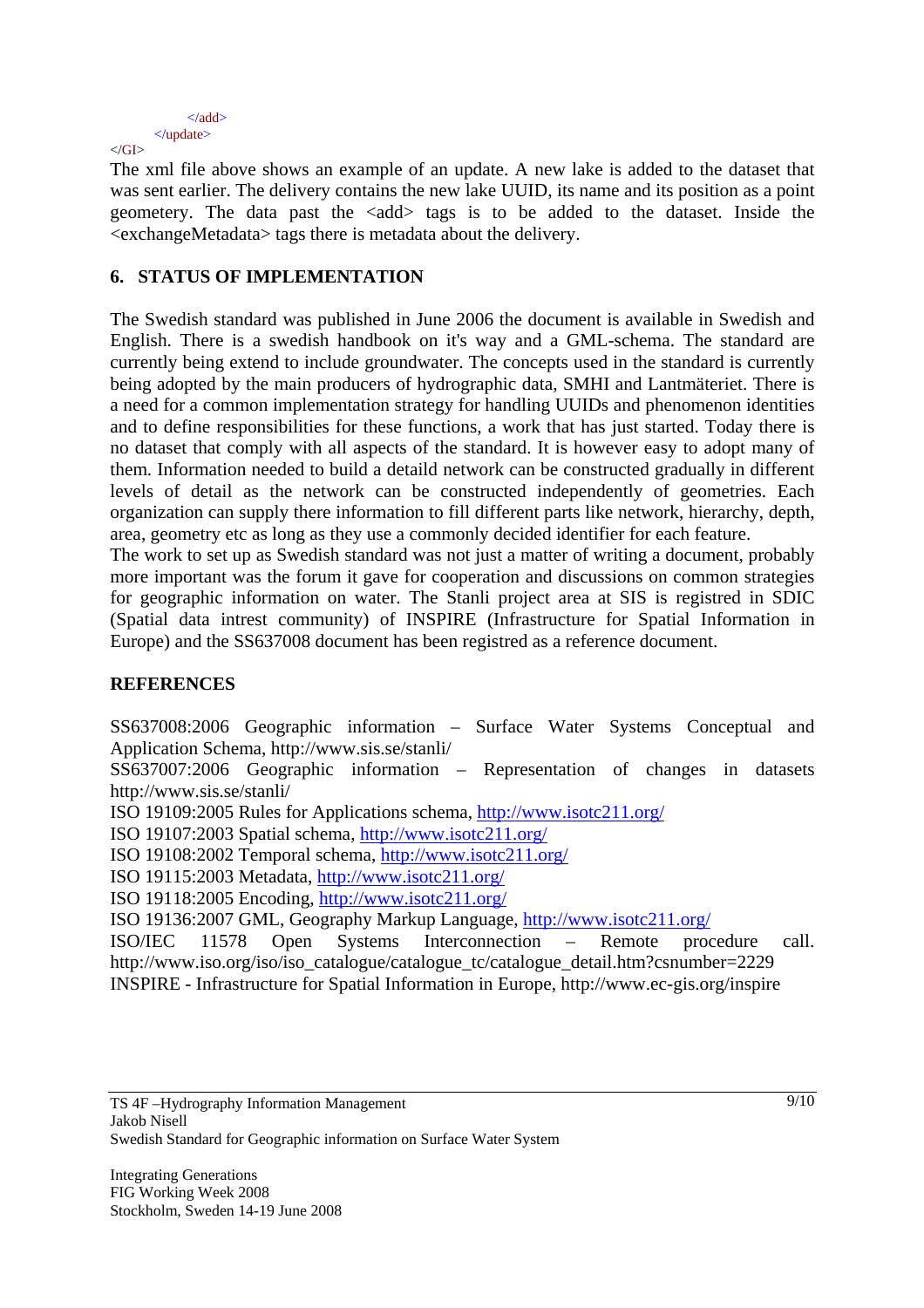```
 </add> 
          </update> 
\langleGI>
```
The xml file above shows an example of an update. A new lake is added to the dataset that was sent earlier. The delivery contains the new lake UUID, its name and its position as a point geometery. The data past the  $\langle \text{add} \rangle$  tags is to be added to the dataset. Inside the <exchangeMetadata> tags there is metadata about the delivery.

# **6. STATUS OF IMPLEMENTATION**

The Swedish standard was published in June 2006 the document is available in Swedish and English. There is a swedish handbook on it's way and a GML-schema. The standard are currently being extend to include groundwater. The concepts used in the standard is currently being adopted by the main producers of hydrographic data, SMHI and Lantmäteriet. There is a need for a common implementation strategy for handling UUIDs and phenomenon identities and to define responsibilities for these functions, a work that has just started. Today there is no dataset that comply with all aspects of the standard. It is however easy to adopt many of them. Information needed to build a detaild network can be constructed gradually in different levels of detail as the network can be constructed independently of geometries. Each organization can supply there information to fill different parts like network, hierarchy, depth, area, geometry etc as long as they use a commonly decided identifier for each feature.

The work to set up as Swedish standard was not just a matter of writing a document, probably more important was the forum it gave for cooperation and discussions on common strategies for geographic information on water. The Stanli project area at SIS is registred in SDIC (Spatial data intrest community) of INSPIRE (Infrastructure for Spatial Information in Europe) and the SS637008 document has been registred as a reference document.

# **REFERENCES**

SS637008:2006 Geographic information – Surface Water Systems Conceptual and Application Schema, http://www.sis.se/stanli/

SS637007:2006 Geographic information – Representation of changes in datasets http://www.sis.se/stanli/

ISO 19109:2005 Rules for Applications schema, http://www.isotc211.org/

ISO 19107:2003 Spatial schema, http://www.isotc211.org/

ISO 19108:2002 Temporal schema, http://www.isotc211.org/

ISO 19115:2003 Metadata, http://www.isotc211.org/

ISO 19118:2005 Encoding, http://www.isotc211.org/

ISO 19136:2007 GML, Geography Markup Language, http://www.isotc211.org/

ISO/IEC 11578 Open Systems Interconnection – Remote procedure call. http://www.iso.org/iso/iso\_catalogue/catalogue\_tc/catalogue\_detail.htm?csnumber=2229 INSPIRE - Infrastructure for Spatial Information in Europe, http://www.ec-gis.org/inspire